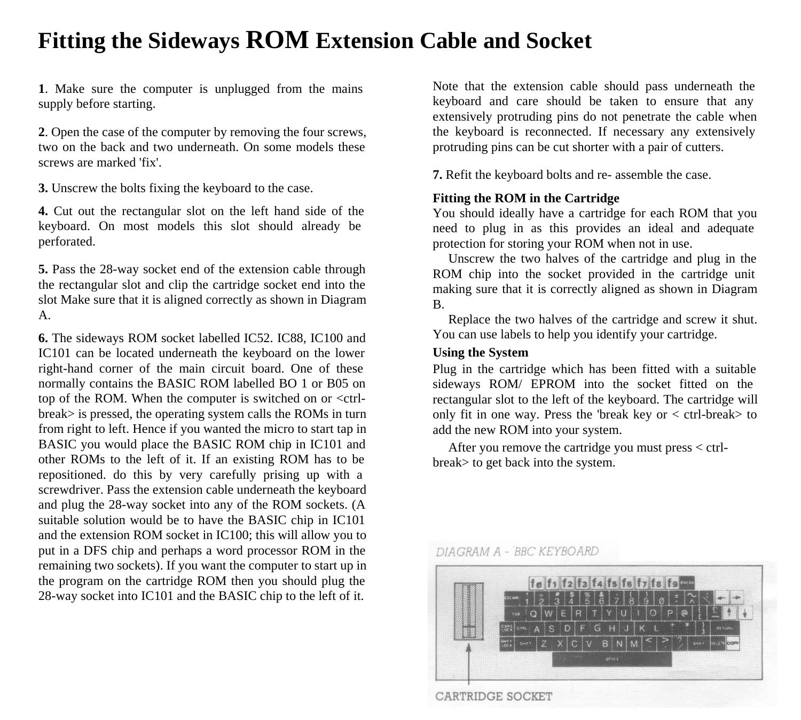## **Fitting the Sideways ROM Extension Cable and Socket**

**1**. Make sure the computer is unplugged from the mains supply before starting.

**2**. Open the case of the computer by removing the four screws, two on the back and two underneath. On some models these screws are marked 'fix'.

**3.** Unscrew the bolts fixing the keyboard to the case.

**4.** Cut out the rectangular slot on the left hand side of the keyboard. On most models this slot should already be perforated.

**5.** Pass the 28-way socket end of the extension cable through the rectangular slot and clip the cartridge socket end into the slot Make sure that it is aligned correctly as shown in Diagram A.

**6.** The sideways ROM socket labelled IC52. IC88, IC100 and IC101 can be located underneath the keyboard on the lower right-hand corner of the main circuit board. One of these normally contains the BASIC ROM labelled BO 1 or B05 on top of the ROM. When the computer is switched on or <ctrlbreak> is pressed, the operating system calls the ROMs in turn from right to left. Hence if you wanted the micro to start tap in BASIC you would place the BASIC ROM chip in IC101 and other ROMs to the left of it. If an existing ROM has to be repositioned. do this by very carefully prising up with a screwdriver. Pass the extension cable underneath the keyboard and plug the 28-way socket into any of the ROM sockets. (A suitable solution would be to have the BASIC chip in IC101 and the extension ROM socket in IC100; this will allow you to put in a DFS chip and perhaps a word processor ROM in the remaining two sockets). If you want the computer to start up in the program on the cartridge ROM then you should plug the 28-way socket into IC101 and the BASIC chip to the left of it.

Note that the extension cable should pass underneath the keyboard and care should be taken to ensure that any extensively protruding pins do not penetrate the cable when the keyboard is reconnected. If necessary any extensively protruding pins can be cut shorter with a pair of cutters.

**7.** Refit the keyboard bolts and re- assemble the case.

#### **Fitting the ROM in the Cartridge**

You should ideally have a cartridge for each ROM that you need to plug in as this provides an ideal and adequate protection for storing your ROM when not in use.

Unscrew the two halves of the cartridge and plug in the ROM chip into the socket provided in the cartridge unit making sure that it is correctly aligned as shown in Diagram B.

Replace the two halves of the cartridge and screw it shut. You can use labels to help you identify your cartridge.

### **Using the System**

Plug in the cartridge which has been fitted with a suitable sideways ROM/ EPROM into the socket fitted on the rectangular slot to the left of the keyboard. The cartridge will only fit in one way. Press the 'break key or  $\lt$  ctrl-break to add the new ROM into your system.

After you remove the cartridge you must press < ctrlbreak> to get back into the system.

#### DIAGRAM A - BBC KEYBOARD



CARTRIDGE SOCKET